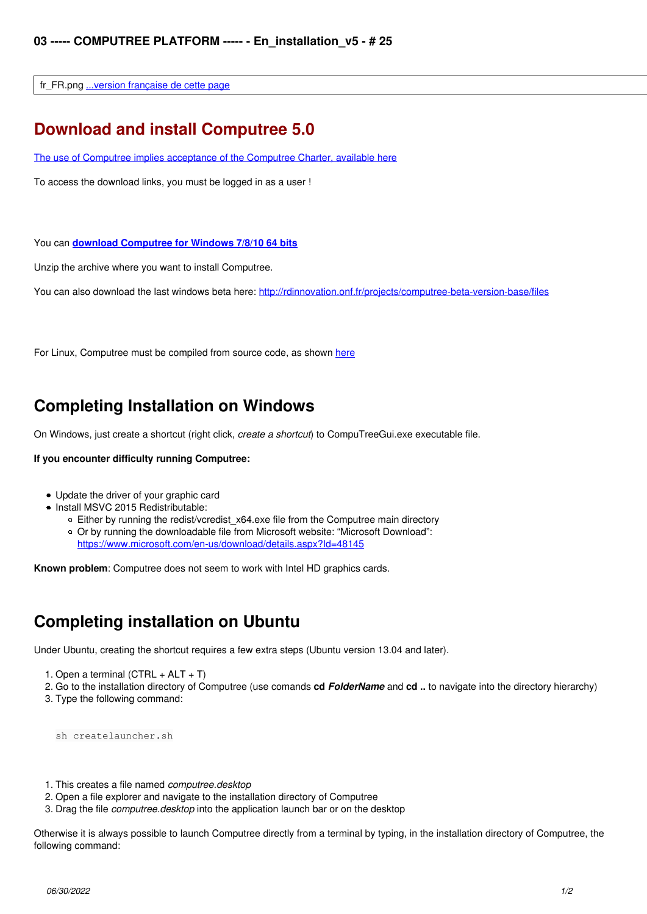fr\_FR.png [...version française de cette page](http://rdinnovation.onf.fr/projects/computree/wiki/Fr_installation_v5)

### **Download and install Computree 5.0**

[The use of Computree implies acceptance of the Computree Charter, available here](http://rdinnovation.onf.fr/projects/computree/wiki/En_charte_v5)

To access the download links, you must be logged in as a user !

You can **[download Computree for Windows 7/8/10 64 bits](http://rdinnovation.onf.fr/documents/206)**

Unzip the archive where you want to install Computree.

You can also download the last windows beta here:<http://rdinnovation.onf.fr/projects/computree-beta-version-base/files>

For Linux, Computree must be compiled from source code, as shown [here](http://rdinnovation.onf.fr/projects/computreedevtools/wiki/En_quickstart)

### **Completing Installation on Windows**

On Windows, just create a shortcut (right click, *create a shortcut*) to CompuTreeGui.exe executable file.

#### **If you encounter difficulty running Computree:**

- Update the driver of your graphic card
- Install MSVC 2015 Redistributable:
	- $\circ$  Either by running the redist/vcredist  $x64$ .exe file from the Computree main directory Or by running the downloadable file from Microsoft website: "Microsoft Download": <https://www.microsoft.com/en-us/download/details.aspx?Id=48145>

**Known problem**: Computree does not seem to work with Intel HD graphics cards.

## **Completing installation on Ubuntu**

Under Ubuntu, creating the shortcut requires a few extra steps (Ubuntu version 13.04 and later).

- 1. Open a terminal  $(CTRL + ALT + T)$
- 2. Go to the installation directory of Computree (use comands **cd** *FolderName* and **cd ..** to navigate into the directory hierarchy)
- 3. Type the following command:

sh createlauncher.sh

- 1. This creates a file named *computree.desktop*
- 2. Open a file explorer and navigate to the installation directory of Computree
- 3. Drag the file *computree.desktop* into the application launch bar or on the desktop

Otherwise it is always possible to launch Computree directly from a terminal by typing, in the installation directory of Computree, the following command: